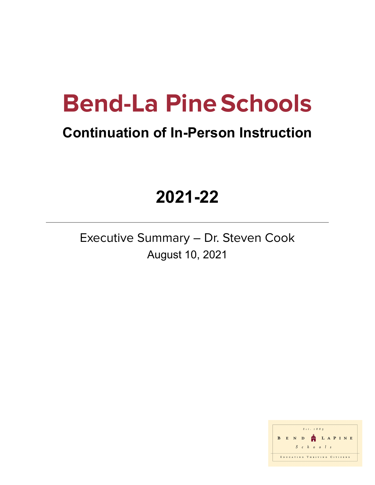# **Bend-La PineSchools**

### **Continuation of In-Person Instruction**

## **2021-22**

Executive Summary – Dr. Steven Cook August 10, 2021

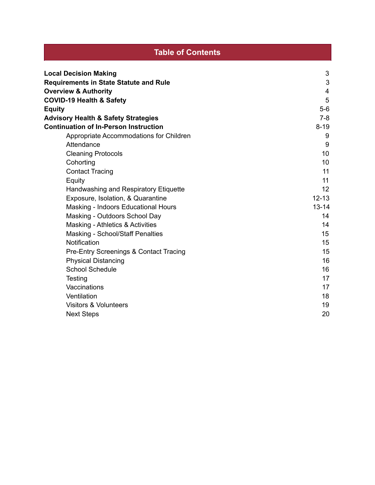| <b>Table of Contents</b>                                                      |           |  |
|-------------------------------------------------------------------------------|-----------|--|
|                                                                               |           |  |
| <b>Local Decision Making</b><br><b>Requirements in State Statute and Rule</b> | 3<br>3    |  |
| <b>Overview &amp; Authority</b>                                               | 4         |  |
| <b>COVID-19 Health &amp; Safety</b>                                           | 5         |  |
| <b>Equity</b>                                                                 | $5-6$     |  |
| <b>Advisory Health &amp; Safety Strategies</b>                                | $7 - 8$   |  |
| <b>Continuation of In-Person Instruction</b>                                  | $8 - 19$  |  |
| Appropriate Accommodations for Children                                       | 9         |  |
| Attendance                                                                    | 9         |  |
| <b>Cleaning Protocols</b>                                                     | 10        |  |
| Cohorting                                                                     | 10        |  |
| <b>Contact Tracing</b>                                                        | 11        |  |
| Equity                                                                        | 11        |  |
| Handwashing and Respiratory Etiquette                                         | 12        |  |
| Exposure, Isolation, & Quarantine                                             | $12 - 13$ |  |
| Masking - Indoors Educational Hours                                           | $13 - 14$ |  |
| Masking - Outdoors School Day                                                 | 14        |  |
| Masking - Athletics & Activities                                              | 14        |  |
| <b>Masking - School/Staff Penalties</b>                                       | 15        |  |
| Notification                                                                  | 15        |  |
| <b>Pre-Entry Screenings &amp; Contact Tracing</b>                             | 15        |  |
| <b>Physical Distancing</b>                                                    | 16        |  |
| <b>School Schedule</b>                                                        | 16        |  |
| Testing                                                                       | 17        |  |
| Vaccinations                                                                  | 17        |  |
| Ventilation                                                                   | 18        |  |
| <b>Visitors &amp; Volunteers</b>                                              | 19        |  |
| <b>Next Steps</b>                                                             | 20        |  |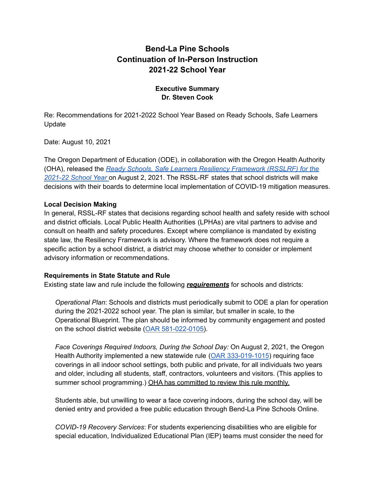#### **Bend-La Pine Schools Continuation of In-Person Instruction 2021-22 School Year**

#### **Executive Summary Dr. Steven Cook**

Re: Recommendations for 2021-2022 School Year Based on Ready Schools, Safe Learners Update

Date: August 10, 2021

The Oregon Department of Education (ODE), in collaboration with the Oregon Health Authority (OHA), released the *Ready Schools, Safe Learners Resiliency [Framework](https://www.oregon.gov/ode/students-and-family/healthsafety/Documents/Ready%20Schools%20Safe%20Learners%20Resiliency%20Framework%20for%20the%202021-22%20School%20Year.pdf) (RSSLRF) for the [2021-22](https://www.oregon.gov/ode/students-and-family/healthsafety/Documents/Ready%20Schools%20Safe%20Learners%20Resiliency%20Framework%20for%20the%202021-22%20School%20Year.pdf) School Year* on August 2, 2021. The RSSL-RF states that school districts will make decisions with their boards to determine local implementation of COVID-19 mitigation measures.

#### **Local Decision Making**

In general, RSSL-RF states that decisions regarding school health and safety reside with school and district officials. Local Public Health Authorities (LPHAs) are vital partners to advise and consult on health and safety procedures. Except where compliance is mandated by existing state law, the Resiliency Framework is advisory. Where the framework does not require a specific action by a school district, a district may choose whether to consider or implement advisory information or recommendations.

#### **Requirements in State Statute and Rule**

Existing state law and rule include the following *requirements* for schools and districts:

*Operational Plan*: Schools and districts must periodically submit to ODE a plan for operation during the 2021-2022 school year. The plan is similar, but smaller in scale, to the Operational Blueprint. The plan should be informed by community engagement and posted on the school district website (OAR [581-022-0105\)](https://secure.sos.state.or.us/oard/displayDivisionRules.action?selectedDivision=2563).

*Face Coverings Required Indoors, During the School Day:* On August 2, 2021, the Oregon Health Authority implemented a new statewide rule (OAR [333-019-1015](https://lnks.gd/l/eyJhbGciOiJIUzI1NiJ9.eyJidWxsZXRpbl9saW5rX2lkIjoxMDQsInVyaSI6ImJwMjpjbGljayIsImJ1bGxldGluX2lkIjoiMjAyMTA4MDMuNDQwODAxNjEiLCJ1cmwiOiJodHRwczovL3NlY3VyZS5zb3Muc3RhdGUub3IudXMvb2FyZC92aWV3U2luZ2xlUnVsZS5hY3Rpb24_cnVsZVZyc25Sc249MjgwMTgzJnV0bV9tZWRpdW09ZW1haWwmdXRtX3NvdXJjZT1nb3ZkZWxpdmVyeSJ9.tM_5df0cCtkx2qVROshDeXmoZ5SW60FpqAEim2ESR3w/s/979397990/br/110339932286-l)) requiring face coverings in all indoor school settings, both public and private, for all individuals two years and older, including all students, staff, contractors, volunteers and visitors. (This applies to summer school programming.) OHA has committed to review this rule monthly.

Students able, but unwilling to wear a face covering indoors, during the school day, will be denied entry and provided a free public education through Bend-La Pine Schools Online.

*COVID-19 Recovery Services*: For students experiencing disabilities who are eligible for special education, Individualized Educational Plan (IEP) teams must consider the need for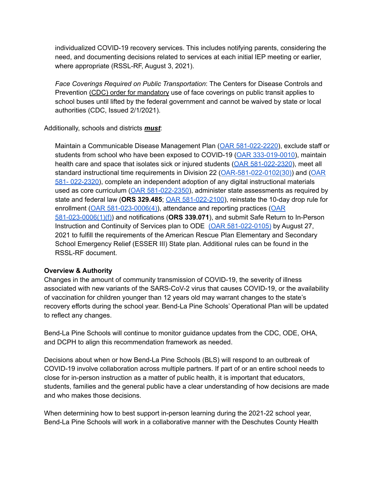individualized COVID-19 recovery services. This includes notifying parents, considering the need, and documenting decisions related to services at each initial IEP meeting or earlier, where appropriate (RSSL-RF, August 3, 2021).

*Face Coverings Required on Public Transportation*: The Centers for Disease Controls and Prevention (CDC) order for [mandatory](https://www.cdc.gov/coronavirus/2019-ncov/travelers/face-masks-public-transportation.html) use of face coverings on public transit applies to school buses until lifted by the federal government and cannot be waived by state or local authorities (CDC, Issued 2/1/2021).

#### Additionally, schools and districts *must*:

Maintain a Communicable Disease Management Plan (OAR [581-022-2220](https://secure.sos.state.or.us/oard/viewSingleRule.action?ruleVrsnRsn=145269)), exclude staff or students from school who have been exposed to COVID-19 (OAR [333-019-0010\)](https://secure.sos.state.or.us/oard/viewSingleRule.action?ruleVrsnRsn=272765), maintain health care and space that isolates sick or injured students (OAR [581-022-2320](https://secure.sos.state.or.us/oard/viewSingleRule.action?ruleVrsnRsn=250536)), meet all standard instructional time requirements in Division 22 ([OAR-581-022-0102\(30\)](https://secure.sos.state.or.us/oard/viewSingleRule.action?ruleVrsnRsn=252828)) and ([OAR](https://secure.sos.state.or.us/oard/viewSingleRule.action?ruleVrsnRsn=250536) 581- [022-2320\)](https://secure.sos.state.or.us/oard/viewSingleRule.action?ruleVrsnRsn=250536), complete an independent adoption of any digital instructional materials used as core curriculum (OAR [581-022-2350\)](https://secure.sos.state.or.us/oard/viewSingleRule.action?ruleVrsnRsn=145324), administer state assessments as required by state and federal law (**ORS 329.485**; OAR [581-022-2100](https://secure.sos.state.or.us/oard/viewSingleRule.action?ruleVrsnRsn=145236)), reinstate the 10-day drop rule for enrollment (OAR [581-023-0006\(4\)\)](https://secure.sos.state.or.us/oard/viewSingleRule.action?ruleVrsnRsn=276369), attendance and reporting practices ([OAR](https://secure.sos.state.or.us/oard/viewSingleRule.action?ruleVrsnRsn=276369) [581-023-0006\(1\)\(f\)](https://secure.sos.state.or.us/oard/viewSingleRule.action?ruleVrsnRsn=276369)) and notifications (**ORS 339.071**), and submit Safe Return to In-Person Instruction and Continuity of Services plan to ODE (OAR [581-022-0105\)](https://secure.sos.state.or.us/oard/displayDivisionRules.action?selectedDivision=2563) by August 27, 2021 to fulfill the requirements of the American Rescue Plan Elementary and Secondary School Emergency Relief (ESSER III) State plan. Additional rules can be found in the RSSL-RF document.

#### **Overview & Authority**

Changes in the amount of community transmission of COVID-19, the severity of illness associated with new variants of the SARS-CoV-2 virus that causes COVID-19, or the availability of vaccination for children younger than 12 years old may warrant changes to the state's recovery efforts during the school year. Bend-La Pine Schools' Operational Plan will be updated to reflect any changes.

Bend-La Pine Schools will continue to monitor guidance updates from the CDC, ODE, OHA, and DCPH to align this recommendation framework as needed.

Decisions about when or how Bend-La Pine Schools (BLS) will respond to an outbreak of COVID-19 involve collaboration across multiple partners. If part of or an entire school needs to close for in-person instruction as a matter of public health, it is important that educators, students, families and the general public have a clear understanding of how decisions are made and who makes those decisions.

When determining how to best support in-person learning during the 2021-22 school year, Bend-La Pine Schools will work in a collaborative manner with the Deschutes County Health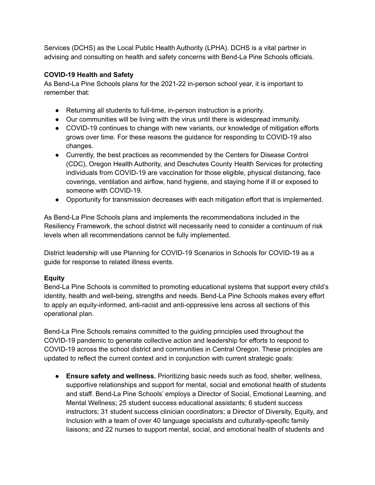Services (DCHS) as the Local Public Health Authority (LPHA). DCHS is a vital partner in advising and consulting on health and safety concerns with Bend-La Pine Schools officials.

#### **COVID-19 Health and Safety**

As Bend-La Pine Schools plans for the 2021-22 in-person school year, it is important to remember that:

- Returning all students to full-time, in-person instruction is a priority.
- Our communities will be living with the virus until there is widespread immunity.
- COVID-19 continues to change with new variants, our knowledge of mitigation efforts grows over time. For these reasons the guidance for responding to COVID-19 also changes.
- Currently, the best practices as recommended by the Centers for Disease Control (CDC), Oregon Health Authority, and Deschutes County Health Services for protecting individuals from COVID-19 are vaccination for those eligible, physical distancing, face coverings, ventilation and airflow, hand hygiene, and staying home if ill or exposed to someone with COVID-19.
- Opportunity for transmission decreases with each mitigation effort that is implemented.

As Bend-La Pine Schools plans and implements the recommendations included in the Resiliency Framework, the school district will necessarily need to consider a continuum of risk levels when all recommendations cannot be fully implemented.

District leadership will use Planning for COVID-19 Scenarios in Schools for COVID-19 as a guide for response to related illness events.

#### **Equity**

Bend-La Pine Schools is committed to promoting educational systems that support every child's identity, health and well-being, strengths and needs. Bend-La Pine Schools makes every effort to apply an equity-informed, anti-racist and anti-oppressive lens across all sections of this operational plan.

Bend-La Pine Schools remains committed to the guiding principles used throughout the COVID-19 pandemic to generate collective action and leadership for efforts to respond to COVID-19 across the school district and communities in Central Oregon. These principles are updated to reflect the current context and in conjunction with current strategic goals:

**● Ensure safety and wellness.** Prioritizing basic needs such as food, shelter, wellness, supportive relationships and support for mental, social and emotional health of students and staff. Bend-La Pine Schools' employs a Director of Social, Emotional Learning, and Mental Wellness; 25 student success educational assistants; 6 student success instructors; 31 student success clinician coordinators; a Director of Diversity, Equity, and Inclusion with a team of over 40 language specialists and culturally-specific family liaisons; and 22 nurses to support mental, social, and emotional health of students and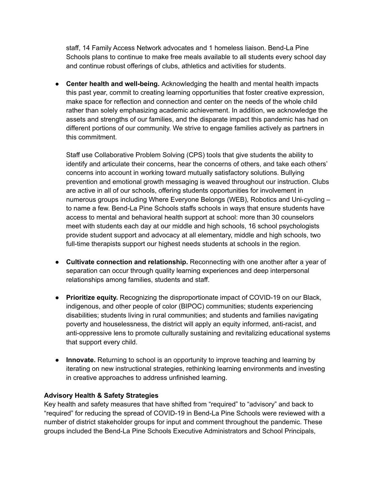staff, 14 Family Access Network advocates and 1 homeless liaison. Bend-La Pine Schools plans to continue to make free meals available to all students every school day and continue robust offerings of clubs, athletics and activities for students.

**● Center health and well-being.** Acknowledging the health and mental health impacts this past year, commit to creating learning opportunities that foster creative expression, make space for reflection and connection and center on the needs of the whole child rather than solely emphasizing academic achievement. In addition, we acknowledge the assets and strengths of our families, and the disparate impact this pandemic has had on different portions of our community. We strive to engage families actively as partners in this commitment.

Staff use Collaborative Problem Solving (CPS) tools that give students the ability to identify and articulate their concerns, hear the concerns of others, and take each others' concerns into account in working toward mutually satisfactory solutions. Bullying prevention and emotional growth messaging is weaved throughout our instruction. Clubs are active in all of our schools, offering students opportunities for involvement in numerous groups including Where Everyone Belongs (WEB), Robotics and Uni-cycling – to name a few. Bend-La Pine Schools staffs schools in ways that ensure students have access to mental and behavioral health support at school: more than 30 counselors meet with students each day at our middle and high schools, 16 school psychologists provide student support and advocacy at all elementary, middle and high schools, two full-time therapists support our highest needs students at schools in the region.

- **● Cultivate connection and relationship.** Reconnecting with one another after a year of separation can occur through quality learning experiences and deep interpersonal relationships among families, students and staff.
- **● Prioritize equity.** Recognizing the disproportionate impact of COVID-19 on our Black, indigenous, and other people of color (BIPOC) communities; students experiencing disabilities; students living in rural communities; and students and families navigating poverty and houselessness, the district will apply an equity informed, anti-racist, and anti-oppressive lens to promote culturally sustaining and revitalizing educational systems that support every child.
- **● Innovate.** Returning to school is an opportunity to improve teaching and learning by iterating on new instructional strategies, rethinking learning environments and investing in creative approaches to address unfinished learning.

#### **Advisory Health & Safety Strategies**

Key health and safety measures that have shifted from "required" to "advisory" and back to "required" for reducing the spread of COVID-19 in Bend-La Pine Schools were reviewed with a number of district stakeholder groups for input and comment throughout the pandemic. These groups included the Bend-La Pine Schools Executive Administrators and School Principals,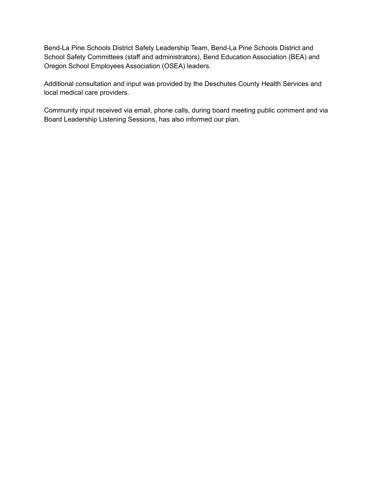Bend-La Pine Schools District Safety Leadership Team, Bend-La Pine Schools District and School Safety Committees (staff and administrators), Bend Education Association (BEA) and Oregon School Employees Association (OSEA) leaders.

Additional consultation and input was provided by the Deschutes County Health Services and local medical care providers.

Community input received via email, phone calls, during board meeting public comment and via Board Leadership Listening Sessions, has also informed our plan.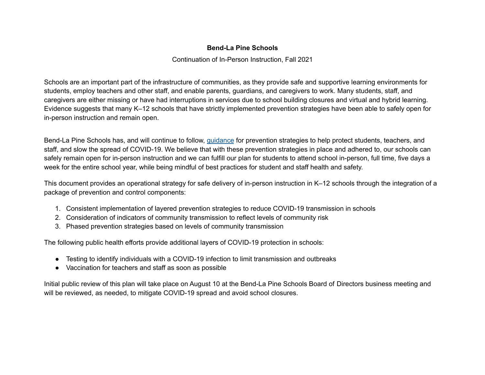#### **Bend-La Pine Schools**

Continuation of In-Person Instruction, Fall 2021

Schools are an important part of the infrastructure of communities, as they provide safe and supportive learning environments for students, employ teachers and other staff, and enable parents, guardians, and caregivers to work. Many students, staff, and caregivers are either missing or have had interruptions in services due to school building closures and virtual and hybrid learning. Evidence suggests that many K–12 schools that have strictly implemented prevention strategies have been able to safely open for in-person instruction and remain open.

Bend-La Pine Schools has, and will continue to follow, [guidance](https://www.cdc.gov/coronavirus/2019-ncov/community/schools-childcare/schools.html) for prevention strategies to help protect students, teachers, and staff, and slow the spread of COVID-19. We believe that with these prevention strategies in place and adhered to, our schools can safely remain open for in-person instruction and we can fulfill our plan for students to attend school in-person, full time, five days a week for the entire school year, while being mindful of best practices for student and staff health and safety.

This document provides an operational strategy for safe delivery of in-person instruction in K–12 schools through the integration of a package of prevention and control components:

- 1. Consistent implementation of layered prevention strategies to reduce COVID-19 transmission in schools
- 2. Consideration of indicators of community transmission to reflect levels of community risk
- 3. Phased prevention strategies based on levels of community transmission

The following public health efforts provide additional layers of COVID-19 protection in schools:

- Testing to identify individuals with a COVID-19 infection to limit transmission and outbreaks
- Vaccination for teachers and staff as soon as possible

Initial public review of this plan will take place on August 10 at the Bend-La Pine Schools Board of Directors business meeting and will be reviewed, as needed, to mitigate COVID-19 spread and avoid school closures.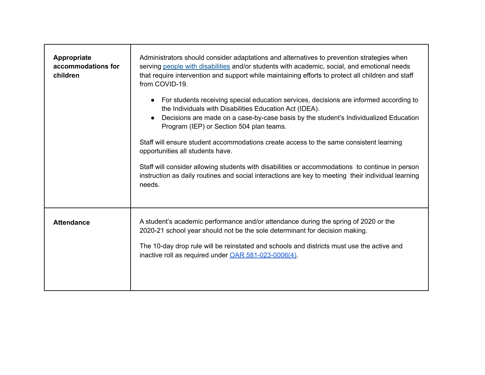| Appropriate<br>accommodations for<br>children | Administrators should consider adaptations and alternatives to prevention strategies when<br>serving people with disabilities and/or students with academic, social, and emotional needs<br>that require intervention and support while maintaining efforts to protect all children and staff<br>from COVID-19.<br>For students receiving special education services, decisions are informed according to<br>the Individuals with Disabilities Education Act (IDEA).<br>Decisions are made on a case-by-case basis by the student's Individualized Education<br>Program (IEP) or Section 504 plan teams.<br>Staff will ensure student accommodations create access to the same consistent learning<br>opportunities all students have.<br>Staff will consider allowing students with disabilities or accommodations to continue in person<br>instruction as daily routines and social interactions are key to meeting their individual learning<br>needs. |
|-----------------------------------------------|-----------------------------------------------------------------------------------------------------------------------------------------------------------------------------------------------------------------------------------------------------------------------------------------------------------------------------------------------------------------------------------------------------------------------------------------------------------------------------------------------------------------------------------------------------------------------------------------------------------------------------------------------------------------------------------------------------------------------------------------------------------------------------------------------------------------------------------------------------------------------------------------------------------------------------------------------------------|
| <b>Attendance</b>                             | A student's academic performance and/or attendance during the spring of 2020 or the<br>2020-21 school year should not be the sole determinant for decision making.<br>The 10-day drop rule will be reinstated and schools and districts must use the active and<br>inactive roll as required under OAR 581-023-0006(4).                                                                                                                                                                                                                                                                                                                                                                                                                                                                                                                                                                                                                                   |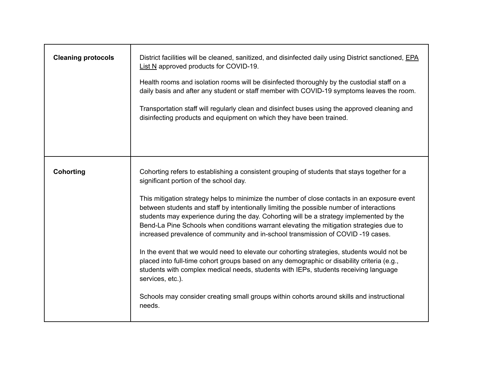| <b>Cleaning protocols</b> | District facilities will be cleaned, sanitized, and disinfected daily using District sanctioned, EPA<br>List N approved products for COVID-19.<br>Health rooms and isolation rooms will be disinfected thoroughly by the custodial staff on a<br>daily basis and after any student or staff member with COVID-19 symptoms leaves the room.<br>Transportation staff will regularly clean and disinfect buses using the approved cleaning and<br>disinfecting products and equipment on which they have been trained.                                                                                                                                                                                                                                                                                                                                                                                                                                                                                                        |
|---------------------------|----------------------------------------------------------------------------------------------------------------------------------------------------------------------------------------------------------------------------------------------------------------------------------------------------------------------------------------------------------------------------------------------------------------------------------------------------------------------------------------------------------------------------------------------------------------------------------------------------------------------------------------------------------------------------------------------------------------------------------------------------------------------------------------------------------------------------------------------------------------------------------------------------------------------------------------------------------------------------------------------------------------------------|
| <b>Cohorting</b>          | Cohorting refers to establishing a consistent grouping of students that stays together for a<br>significant portion of the school day.<br>This mitigation strategy helps to minimize the number of close contacts in an exposure event<br>between students and staff by intentionally limiting the possible number of interactions<br>students may experience during the day. Cohorting will be a strategy implemented by the<br>Bend-La Pine Schools when conditions warrant elevating the mitigation strategies due to<br>increased prevalence of community and in-school transmission of COVID-19 cases.<br>In the event that we would need to elevate our cohorting strategies, students would not be<br>placed into full-time cohort groups based on any demographic or disability criteria (e.g.,<br>students with complex medical needs, students with IEPs, students receiving language<br>services, etc.).<br>Schools may consider creating small groups within cohorts around skills and instructional<br>needs. |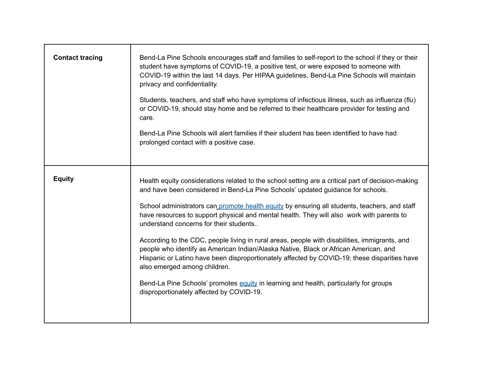| <b>Contact tracing</b> | Bend-La Pine Schools encourages staff and families to self-report to the school if they or their<br>student have symptoms of COVID-19, a positive test, or were exposed to someone with<br>COVID-19 within the last 14 days. Per HIPAA guidelines, Bend-La Pine Schools will maintain<br>privacy and confidentiality.<br>Students, teachers, and staff who have symptoms of infectious illness, such as influenza (flu)<br>or COVID-19, should stay home and be referred to their healthcare provider for testing and<br>care.<br>Bend-La Pine Schools will alert families if their student has been identified to have had<br>prolonged contact with a positive case.                                                                                                                                                                                                                     |
|------------------------|--------------------------------------------------------------------------------------------------------------------------------------------------------------------------------------------------------------------------------------------------------------------------------------------------------------------------------------------------------------------------------------------------------------------------------------------------------------------------------------------------------------------------------------------------------------------------------------------------------------------------------------------------------------------------------------------------------------------------------------------------------------------------------------------------------------------------------------------------------------------------------------------|
| <b>Equity</b>          | Health equity considerations related to the school setting are a critical part of decision-making<br>and have been considered in Bend-La Pine Schools' updated guidance for schools.<br>School administrators can promote health equity by ensuring all students, teachers, and staff<br>have resources to support physical and mental health. They will also work with parents to<br>understand concerns for their students<br>According to the CDC, people living in rural areas, people with disabilities, immigrants, and<br>people who identify as American Indian/Alaska Native, Black or African American, and<br>Hispanic or Latino have been disproportionately affected by COVID-19; these disparities have<br>also emerged among children.<br>Bend-La Pine Schools' promotes equity in learning and health, particularly for groups<br>disproportionately affected by COVID-19. |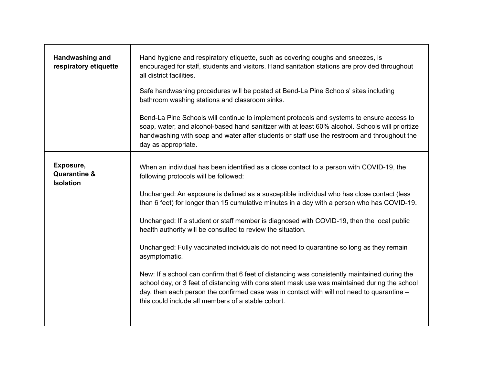| Handwashing and<br>respiratory etiquette                 | Hand hygiene and respiratory etiquette, such as covering coughs and sneezes, is<br>encouraged for staff, students and visitors. Hand sanitation stations are provided throughout<br>all district facilities.<br>Safe handwashing procedures will be posted at Bend-La Pine Schools' sites including<br>bathroom washing stations and classroom sinks.<br>Bend-La Pine Schools will continue to implement protocols and systems to ensure access to<br>soap, water, and alcohol-based hand sanitizer with at least 60% alcohol. Schools will prioritize<br>handwashing with soap and water after students or staff use the restroom and throughout the<br>day as appropriate.                                                                                                                                                                                                                                                                                   |
|----------------------------------------------------------|----------------------------------------------------------------------------------------------------------------------------------------------------------------------------------------------------------------------------------------------------------------------------------------------------------------------------------------------------------------------------------------------------------------------------------------------------------------------------------------------------------------------------------------------------------------------------------------------------------------------------------------------------------------------------------------------------------------------------------------------------------------------------------------------------------------------------------------------------------------------------------------------------------------------------------------------------------------|
| Exposure,<br><b>Quarantine &amp;</b><br><b>Isolation</b> | When an individual has been identified as a close contact to a person with COVID-19, the<br>following protocols will be followed:<br>Unchanged: An exposure is defined as a susceptible individual who has close contact (less<br>than 6 feet) for longer than 15 cumulative minutes in a day with a person who has COVID-19.<br>Unchanged: If a student or staff member is diagnosed with COVID-19, then the local public<br>health authority will be consulted to review the situation.<br>Unchanged: Fully vaccinated individuals do not need to quarantine so long as they remain<br>asymptomatic.<br>New: If a school can confirm that 6 feet of distancing was consistently maintained during the<br>school day, or 3 feet of distancing with consistent mask use was maintained during the school<br>day, then each person the confirmed case was in contact with will not need to quarantine $-$<br>this could include all members of a stable cohort. |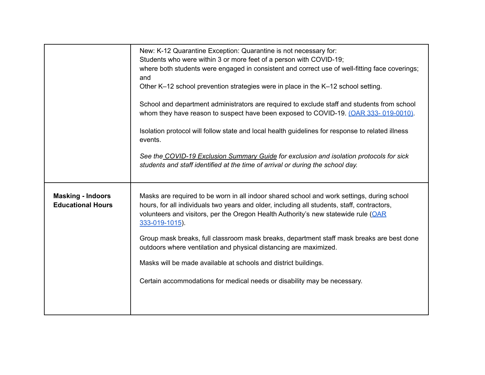|                                                      | New: K-12 Quarantine Exception: Quarantine is not necessary for:<br>Students who were within 3 or more feet of a person with COVID-19;<br>where both students were engaged in consistent and correct use of well-fitting face coverings;<br>and<br>Other K-12 school prevention strategies were in place in the K-12 school setting.<br>School and department administrators are required to exclude staff and students from school<br>whom they have reason to suspect have been exposed to COVID-19. (OAR 333-019-0010).<br>Isolation protocol will follow state and local health guidelines for response to related illness<br>events.<br>See the COVID-19 Exclusion Summary Guide for exclusion and isolation protocols for sick |
|------------------------------------------------------|--------------------------------------------------------------------------------------------------------------------------------------------------------------------------------------------------------------------------------------------------------------------------------------------------------------------------------------------------------------------------------------------------------------------------------------------------------------------------------------------------------------------------------------------------------------------------------------------------------------------------------------------------------------------------------------------------------------------------------------|
|                                                      | students and staff identified at the time of arrival or during the school day.                                                                                                                                                                                                                                                                                                                                                                                                                                                                                                                                                                                                                                                       |
|                                                      |                                                                                                                                                                                                                                                                                                                                                                                                                                                                                                                                                                                                                                                                                                                                      |
| <b>Masking - Indoors</b><br><b>Educational Hours</b> | Masks are required to be worn in all indoor shared school and work settings, during school<br>hours, for all individuals two years and older, including all students, staff, contractors,<br>volunteers and visitors, per the Oregon Health Authority's new statewide rule (OAR<br>333-019-1015).                                                                                                                                                                                                                                                                                                                                                                                                                                    |
|                                                      | Group mask breaks, full classroom mask breaks, department staff mask breaks are best done<br>outdoors where ventilation and physical distancing are maximized.                                                                                                                                                                                                                                                                                                                                                                                                                                                                                                                                                                       |
|                                                      | Masks will be made available at schools and district buildings.                                                                                                                                                                                                                                                                                                                                                                                                                                                                                                                                                                                                                                                                      |
|                                                      | Certain accommodations for medical needs or disability may be necessary.                                                                                                                                                                                                                                                                                                                                                                                                                                                                                                                                                                                                                                                             |
|                                                      |                                                                                                                                                                                                                                                                                                                                                                                                                                                                                                                                                                                                                                                                                                                                      |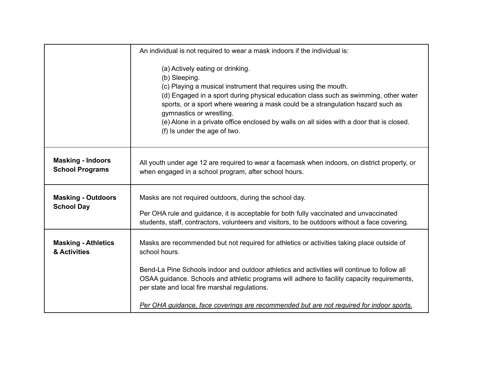|                                                    | An individual is not required to wear a mask indoors if the individual is:                                                                                                                                                                                                                                                                                                                                                                              |
|----------------------------------------------------|---------------------------------------------------------------------------------------------------------------------------------------------------------------------------------------------------------------------------------------------------------------------------------------------------------------------------------------------------------------------------------------------------------------------------------------------------------|
|                                                    | (a) Actively eating or drinking.<br>(b) Sleeping.<br>(c) Playing a musical instrument that requires using the mouth.<br>(d) Engaged in a sport during physical education class such as swimming, other water<br>sports, or a sport where wearing a mask could be a strangulation hazard such as<br>gymnastics or wrestling.<br>(e) Alone in a private office enclosed by walls on all sides with a door that is closed.<br>(f) Is under the age of two. |
| <b>Masking - Indoors</b><br><b>School Programs</b> | All youth under age 12 are required to wear a facemask when indoors, on district property, or<br>when engaged in a school program, after school hours.                                                                                                                                                                                                                                                                                                  |
| <b>Masking - Outdoors</b><br><b>School Day</b>     | Masks are not required outdoors, during the school day.<br>Per OHA rule and guidance, it is acceptable for both fully vaccinated and unvaccinated<br>students, staff, contractors, volunteers and visitors, to be outdoors without a face covering.                                                                                                                                                                                                     |
| <b>Masking - Athletics</b><br>& Activities         | Masks are recommended but not required for athletics or activities taking place outside of<br>school hours.<br>Bend-La Pine Schools indoor and outdoor athletics and activities will continue to follow all<br>OSAA guidance. Schools and athletic programs will adhere to facility capacity requirements,                                                                                                                                              |
|                                                    | per state and local fire marshal regulations.<br>Per OHA quidance, face coverings are recommended but are not required for indoor sports.                                                                                                                                                                                                                                                                                                               |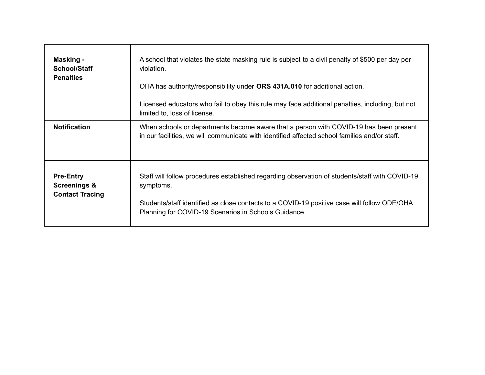| Masking -<br><b>School/Staff</b><br><b>Penalties</b>                  | A school that violates the state masking rule is subject to a civil penalty of \$500 per day per<br>violation.<br>OHA has authority/responsibility under ORS 431A.010 for additional action.<br>Licensed educators who fail to obey this rule may face additional penalties, including, but not<br>limited to, loss of license. |
|-----------------------------------------------------------------------|---------------------------------------------------------------------------------------------------------------------------------------------------------------------------------------------------------------------------------------------------------------------------------------------------------------------------------|
| <b>Notification</b>                                                   | When schools or departments become aware that a person with COVID-19 has been present<br>in our facilities, we will communicate with identified affected school families and/or staff.                                                                                                                                          |
| <b>Pre-Entry</b><br><b>Screenings &amp;</b><br><b>Contact Tracing</b> | Staff will follow procedures established regarding observation of students/staff with COVID-19<br>symptoms.<br>Students/staff identified as close contacts to a COVID-19 positive case will follow ODE/OHA<br>Planning for COVID-19 Scenarios in Schools Guidance.                                                              |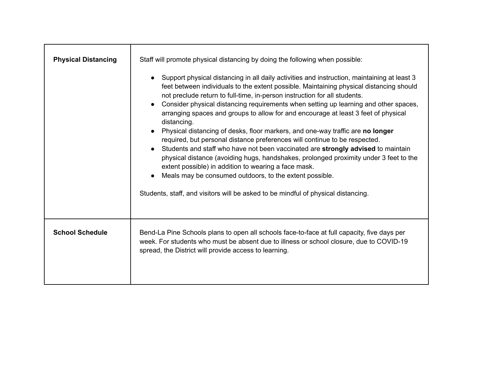| <b>Physical Distancing</b> | Staff will promote physical distancing by doing the following when possible:<br>Support physical distancing in all daily activities and instruction, maintaining at least 3<br>feet between individuals to the extent possible. Maintaining physical distancing should<br>not preclude return to full-time, in-person instruction for all students.<br>Consider physical distancing requirements when setting up learning and other spaces,<br>arranging spaces and groups to allow for and encourage at least 3 feet of physical<br>distancing.<br>Physical distancing of desks, floor markers, and one-way traffic are no longer<br>required, but personal distance preferences will continue to be respected.<br>Students and staff who have not been vaccinated are strongly advised to maintain<br>physical distance (avoiding hugs, handshakes, prolonged proximity under 3 feet to the<br>extent possible) in addition to wearing a face mask.<br>Meals may be consumed outdoors, to the extent possible.<br>Students, staff, and visitors will be asked to be mindful of physical distancing. |
|----------------------------|-------------------------------------------------------------------------------------------------------------------------------------------------------------------------------------------------------------------------------------------------------------------------------------------------------------------------------------------------------------------------------------------------------------------------------------------------------------------------------------------------------------------------------------------------------------------------------------------------------------------------------------------------------------------------------------------------------------------------------------------------------------------------------------------------------------------------------------------------------------------------------------------------------------------------------------------------------------------------------------------------------------------------------------------------------------------------------------------------------|
| <b>School Schedule</b>     | Bend-La Pine Schools plans to open all schools face-to-face at full capacity, five days per<br>week. For students who must be absent due to illness or school closure, due to COVID-19<br>spread, the District will provide access to learning.                                                                                                                                                                                                                                                                                                                                                                                                                                                                                                                                                                                                                                                                                                                                                                                                                                                       |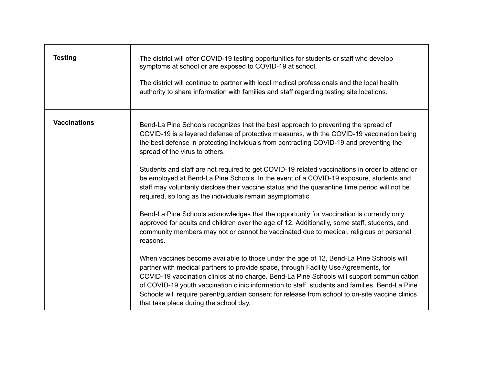| <b>Testing</b>      | The district will offer COVID-19 testing opportunities for students or staff who develop<br>symptoms at school or are exposed to COVID-19 at school.<br>The district will continue to partner with local medical professionals and the local health<br>authority to share information with families and staff regarding testing site locations.                                                                                                                                                                                                                                                                                                                                                                                                                                                                                                                                                                                                                                                                                                                                                                                                                                                                                                                                                                                                                                                                                                                                                           |
|---------------------|-----------------------------------------------------------------------------------------------------------------------------------------------------------------------------------------------------------------------------------------------------------------------------------------------------------------------------------------------------------------------------------------------------------------------------------------------------------------------------------------------------------------------------------------------------------------------------------------------------------------------------------------------------------------------------------------------------------------------------------------------------------------------------------------------------------------------------------------------------------------------------------------------------------------------------------------------------------------------------------------------------------------------------------------------------------------------------------------------------------------------------------------------------------------------------------------------------------------------------------------------------------------------------------------------------------------------------------------------------------------------------------------------------------------------------------------------------------------------------------------------------------|
| <b>Vaccinations</b> | Bend-La Pine Schools recognizes that the best approach to preventing the spread of<br>COVID-19 is a layered defense of protective measures, with the COVID-19 vaccination being<br>the best defense in protecting individuals from contracting COVID-19 and preventing the<br>spread of the virus to others.<br>Students and staff are not required to get COVID-19 related vaccinations in order to attend or<br>be employed at Bend-La Pine Schools. In the event of a COVID-19 exposure, students and<br>staff may voluntarily disclose their vaccine status and the quarantine time period will not be<br>required, so long as the individuals remain asymptomatic.<br>Bend-La Pine Schools acknowledges that the opportunity for vaccination is currently only<br>approved for adults and children over the age of 12. Additionally, some staff, students, and<br>community members may not or cannot be vaccinated due to medical, religious or personal<br>reasons.<br>When vaccines become available to those under the age of 12, Bend-La Pine Schools will<br>partner with medical partners to provide space, through Facility Use Agreements, for<br>COVID-19 vaccination clinics at no charge. Bend-La Pine Schools will support communication<br>of COVID-19 youth vaccination clinic information to staff, students and families. Bend-La Pine<br>Schools will require parent/guardian consent for release from school to on-site vaccine clinics<br>that take place during the school day. |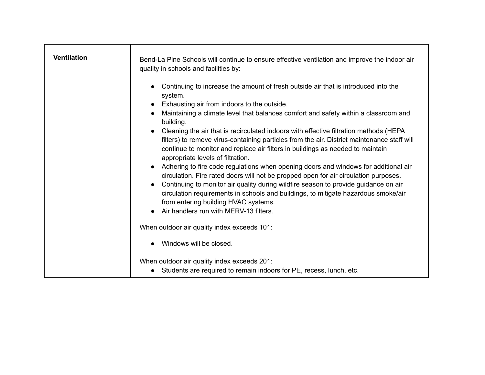| <b>Ventilation</b> | Bend-La Pine Schools will continue to ensure effective ventilation and improve the indoor air<br>quality in schools and facilities by:                                                                                                                                                                                                                   |
|--------------------|----------------------------------------------------------------------------------------------------------------------------------------------------------------------------------------------------------------------------------------------------------------------------------------------------------------------------------------------------------|
|                    | Continuing to increase the amount of fresh outside air that is introduced into the<br>system.                                                                                                                                                                                                                                                            |
|                    | Exhausting air from indoors to the outside.<br>Maintaining a climate level that balances comfort and safety within a classroom and<br>building.                                                                                                                                                                                                          |
|                    | Cleaning the air that is recirculated indoors with effective filtration methods (HEPA<br>filters) to remove virus-containing particles from the air. District maintenance staff will<br>continue to monitor and replace air filters in buildings as needed to maintain<br>appropriate levels of filtration.                                              |
|                    | Adhering to fire code regulations when opening doors and windows for additional air<br>circulation. Fire rated doors will not be propped open for air circulation purposes.<br>Continuing to monitor air quality during wildfire season to provide guidance on air<br>circulation requirements in schools and buildings, to mitigate hazardous smoke/air |
|                    | from entering building HVAC systems.<br>• Air handlers run with MERV-13 filters.                                                                                                                                                                                                                                                                         |
|                    | When outdoor air quality index exceeds 101:                                                                                                                                                                                                                                                                                                              |
|                    | Windows will be closed.                                                                                                                                                                                                                                                                                                                                  |
|                    | When outdoor air quality index exceeds 201:<br>Students are required to remain indoors for PE, recess, lunch, etc.                                                                                                                                                                                                                                       |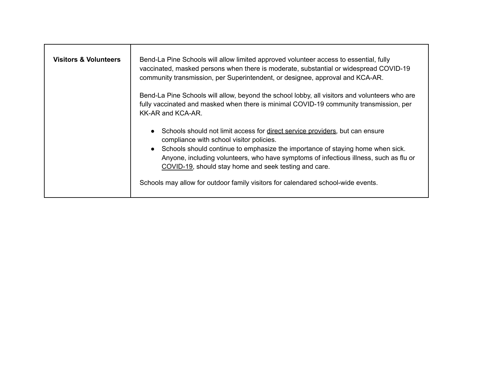| <b>Visitors &amp; Volunteers</b> | Bend-La Pine Schools will allow limited approved volunteer access to essential, fully<br>vaccinated, masked persons when there is moderate, substantial or widespread COVID-19<br>community transmission, per Superintendent, or designee, approval and KCA-AR.<br>Bend-La Pine Schools will allow, beyond the school lobby, all visitors and volunteers who are |
|----------------------------------|------------------------------------------------------------------------------------------------------------------------------------------------------------------------------------------------------------------------------------------------------------------------------------------------------------------------------------------------------------------|
|                                  | fully vaccinated and masked when there is minimal COVID-19 community transmission, per<br>KK-AR and KCA-AR.                                                                                                                                                                                                                                                      |
|                                  | Schools should not limit access for direct service providers, but can ensure<br>compliance with school visitor policies.<br>Schools should continue to emphasize the importance of staying home when sick.<br>Anyone, including volunteers, who have symptoms of infectious illness, such as flu or<br>COVID-19, should stay home and seek testing and care.     |
|                                  | Schools may allow for outdoor family visitors for calendared school-wide events.                                                                                                                                                                                                                                                                                 |